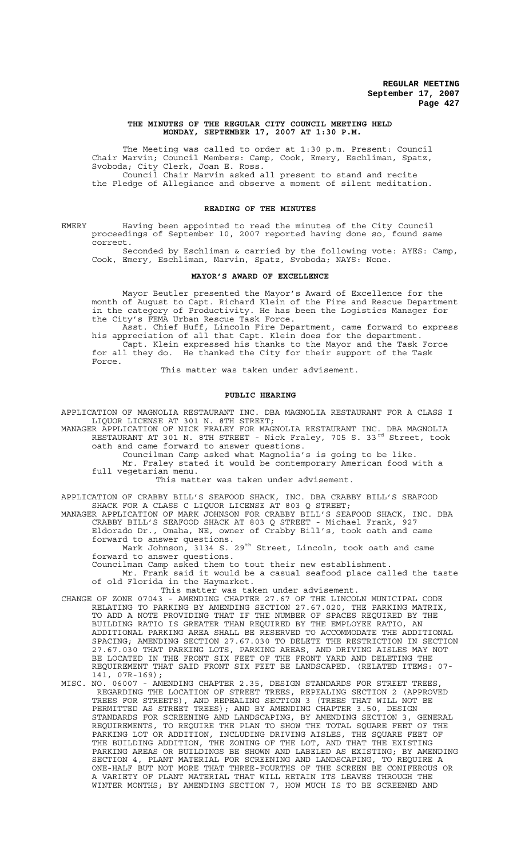### **THE MINUTES OF THE REGULAR CITY COUNCIL MEETING HELD MONDAY, SEPTEMBER 17, 2007 AT 1:30 P.M.**

The Meeting was called to order at 1:30 p.m. Present: Council Chair Marvin; Council Members: Camp, Cook, Emery, Eschliman, Spatz, Svoboda; City Clerk, Joan E. Ross. Council Chair Marvin asked all present to stand and recite the Pledge of Allegiance and observe a moment of silent meditation.

#### **READING OF THE MINUTES**

EMERY Having been appointed to read the minutes of the City Council proceedings of September 10, 2007 reported having done so, found same correct.

Seconded by Eschliman & carried by the following vote: AYES: Camp, Cook, Emery, Eschliman, Marvin, Spatz, Svoboda; NAYS: None.

#### **MAYOR'S AWARD OF EXCELLENCE**

Mayor Beutler presented the Mayor's Award of Excellence for the month of August to Capt. Richard Klein of the Fire and Rescue Department in the category of Productivity. He has been the Logistics Manager for the City's FEMA Urban Rescue Task Force.

Asst. Chief Huff, Lincoln Fire Department, came forward to express his appreciation of all that Capt. Klein does for the department. Capt. Klein expressed his thanks to the Mayor and the Task Force for all they do. He thanked the City for their support of the Task Force.

This matter was taken under advisement.

# **PUBLIC HEARING**

APPLICATION OF MAGNOLIA RESTAURANT INC. DBA MAGNOLIA RESTAURANT FOR A CLASS I LIQUOR LICENSE AT 301 N. 8TH STREET;

MANAGER APPLICATION OF NICK FRALEY FOR MAGNOLIA RESTAURANT INC. DBA MAGNOLIA RESTAURANT AT 301 N. 8TH STREET - Nick Fraley, 705 S. 33<sup>rd</sup> Street, took oath and came forward to answer questions.

Councilman Camp asked what Magnolia's is going to be like. Mr. Fraley stated it would be contemporary American food with a full vegetarian menu.

This matter was taken under advisement.

APPLICATION OF CRABBY BILL'S SEAFOOD SHACK, INC. DBA CRABBY BILL'S SEAFOOD SHACK FOR A CLASS C LIQUOR LICENSE AT 803 Q STREET;

MANAGER APPLICATION OF MARK JOHNSON FOR CRABBY BILL'S SEAFOOD SHACK, INC. DBA CRABBY BILL'S SEAFOOD SHACK AT 803 Q STREET - Michael Frank, 927 Eldorado Dr., Omaha, NE, owner of Crabby Bill's, took oath and came

forward to answer questions.

Mark Johnson, 3134 S. 29<sup>th</sup> Street, Lincoln, took oath and came forward to answer questions.

Councilman Camp asked them to tout their new establishment.

Mr. Frank said it would be a casual seafood place called the taste of old Florida in the Haymarket.

This matter was taken under advisement.

CHANGE OF ZONE 07043 - AMENDING CHAPTER 27.67 OF THE LINCOLN MUNICIPAL CODE RELATING TO PARKING BY AMENDING SECTION 27.67.020, THE PARKING MATRIX, TO ADD A NOTE PROVIDING THAT IF THE NUMBER OF SPACES REQUIRED BY THE BUILDING RATIO IS GREATER THAN REQUIRED BY THE EMPLOYEE RATIO, AN ADDITIONAL PARKING AREA SHALL BE RESERVED TO ACCOMMODATE THE ADDITIONAL SPACING; AMENDING SECTION 27.67.030 TO DELETE THE RESTRICTION IN SECTION 27.67.030 THAT PARKING LOTS, PARKING AREAS, AND DRIVING AISLES MAY NOT BE LOCATED IN THE FRONT SIX FEET OF THE FRONT YARD AND DELETING THE REQUIREMENT THAT SAID FRONT SIX FEET BE LANDSCAPED. (RELATED ITEMS: 07-  $141, 07R-169$ ;<br>MISC. NO. 06007 - AM

MISC. NO. 06007 - AMENDING CHAPTER 2.35, DESIGN STANDARDS FOR STREET TREES, REGARDING THE LOCATION OF STREET TREES, REPEALING SECTION 2 (APPROVED TREES FOR STREETS), AND REPEALING SECTION 3 (TREES THAT WILL NOT BE PERMITTED AS STREET TREES); AND BY AMENDING CHAPTER 3.50, DESIGN STANDARDS FOR SCREENING AND LANDSCAPING, BY AMENDING SECTION 3, GENERAL REQUIREMENTS, TO REQUIRE THE PLAN TO SHOW THE TOTAL SQUARE FEET OF THE PARKING LOT OR ADDITION, INCLUDING DRIVING AISLES, THE SQUARE FEET OF THE BUILDING ADDITION, THE ZONING OF THE LOT, AND THAT THE EXISTING PARKING AREAS OR BUILDINGS BE SHOWN AND LABELED AS EXISTING; BY AMENDING SECTION 4, PLANT MATERIAL FOR SCREENING AND LANDSCAPING, TO REQUIRE A ONE-HALF BUT NOT MORE THAT THREE-FOURTHS OF THE SCREEN BE CONIFEROUS OR A VARIETY OF PLANT MATERIAL THAT WILL RETAIN ITS LEAVES THROUGH THE WINTER MONTHS; BY AMENDING SECTION 7, HOW MUCH IS TO BE SCREENED AND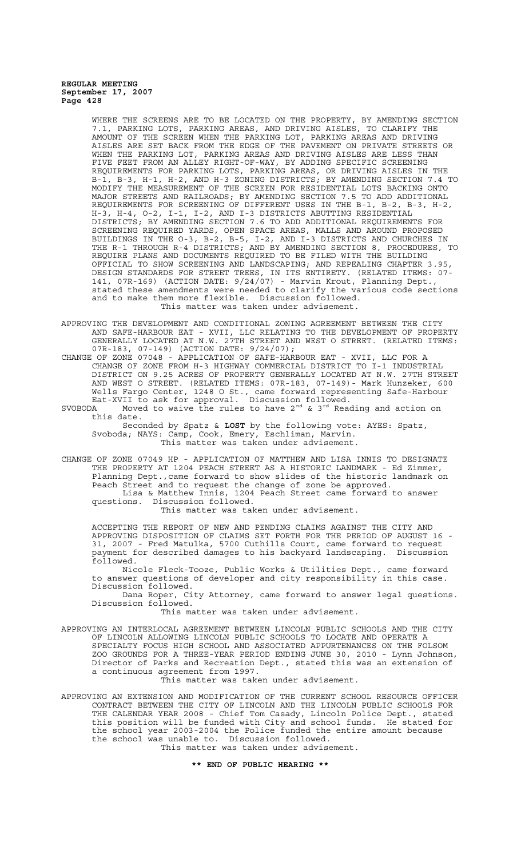WHERE THE SCREENS ARE TO BE LOCATED ON THE PROPERTY, BY AMENDING SECTION 7.1, PARKING LOTS, PARKING AREAS, AND DRIVING AISLES, TO CLARIFY THE AMOUNT OF THE SCREEN WHEN THE PARKING LOT, PARKING AREAS AND DRIVING AISLES ARE SET BACK FROM THE EDGE OF THE PAVEMENT ON PRIVATE STREETS OR WHEN THE PARKING LOT, PARKING AREAS AND DRIVING AISLES ARE LESS THAN FIVE FEET FROM AN ALLEY RIGHT-OF-WAY, BY ADDING SPECIFIC SCREENING REQUIREMENTS FOR PARKING LOTS, PARKING AREAS, OR DRIVING AISLES IN THE B-1, B-3, H-1, H-2, AND H-3 ZONING DISTRICTS; BY AMENDING SECTION 7.4 TO MODIFY THE MEASUREMENT OF THE SCREEN FOR RESIDENTIAL LOTS BACKING ONTO MAJOR STREETS AND RAILROADS; BY AMENDING SECTION 7.5 TO ADD ADDITIONAL REQUIREMENTS FOR SCREENING OF DIFFERENT USES IN THE B-1, B-2, B-3, H-2, H-3, H-4, O-2, I-1, I-2, AND I-3 DISTRICTS ABUTTING RESIDENTIAL DISTRICTS; BY AMENDING SECTION 7.6 TO ADD ADDITIONAL REQUIREMENTS FOR SCREENING REQUIRED YARDS, OPEN SPACE AREAS, MALLS AND AROUND PROPOSED BUILDINGS IN THE O-3, B-2, B-5, I-2, AND I-3 DISTRICTS AND CHURCHES IN THE R-1 THROUGH R-4 DISTRICTS; AND BY AMENDING SECTION 8, PROCEDURES, TO REQUIRE PLANS AND DOCUMENTS REQUIRED TO BE FILED WITH THE BUILDING OFFICIAL TO SHOW SCREENING AND LANDSCAPING; AND REPEALING CHAPTER 3.95, DESIGN STANDARDS FOR STREET TREES, IN ITS ENTIRETY. (RELATED ITEMS: 07- 141, 07R-169) (ACTION DATE: 9/24/07) - Marvin Krout, Planning Dept., stated these amendments were needed to clarify the various code sections and to make them more flexible. Discussion followed. This matter was taken under advisement.

- APPROVING THE DEVELOPMENT AND CONDITIONAL ZONING AGREEMENT BETWEEN THE CITY AND SAFE-HARBOUR EAT - XVII, LLC RELATING TO THE DEVELOPMENT OF PROPERTY GENERALLY LOCATED AT N.W. 27TH STREET AND WEST O STREET. (RELATED ITEMS: 07R-183, 07-149) (ACTION DATE: 9/24/07);
- CHANGE OF ZONE 07048 APPLICATION OF SAFE-HARBOUR EAT XVII, LLC FOR A CHANGE OF ZONE FROM H-3 HIGHWAY COMMERCIAL DISTRICT TO I-1 INDUSTRIAL DISTRICT ON 9.25 ACRES OF PROPERTY GENERALLY LOCATED AT N.W. 27TH STREET AND WEST O STREET. (RELATED ITEMS: 07R-183, 07-149)- Mark Hunzeker, 600 Wells Fargo Center, 1248 O St., came forward representing Safe-Harbour Eat-XVII to ask for approval. Discussion followed. Eat-XVII to ask for approval. Discussion followed.<br>SVOBODA Moved to waive the rules to have  $2^{nd}$  &  $3^{rd}$  Reading and action on

this date. Seconded by Spatz & **LOST** by the following vote: AYES: Spatz,

Svoboda; NAYS: Camp, Cook, Emery, Eschliman, Marvin. This matter was taken under advisement.

CHANGE OF ZONE 07049 HP - APPLICATION OF MATTHEW AND LISA INNIS TO DESIGNATE THE PROPERTY AT 1204 PEACH STREET AS A HISTORIC LANDMARK - Ed Zimmer, Planning Dept.,came forward to show slides of the historic landmark on Peach Street and to request the change of zone be approved. Lisa & Matthew Innis, 1204 Peach Street came forward to answer questions. Discussion followed.

This matter was taken under advisement.

ACCEPTING THE REPORT OF NEW AND PENDING CLAIMS AGAINST THE CITY AND APPROVING DISPOSITION OF CLAIMS SET FORTH FOR THE PERIOD OF AUGUST 16 - 31, 2007 - Fred Matulka, 5700 Cuthills Court, came forward to request payment for described damages to his backyard landscaping. Discussion followed.

Nicole Fleck-Tooze, Public Works & Utilities Dept., came forward to answer questions of developer and city responsibility in this case. Discussion followed.

Dana Roper, City Attorney, came forward to answer legal questions. Discussion followed.

This matter was taken under advisement.

APPROVING AN INTERLOCAL AGREEMENT BETWEEN LINCOLN PUBLIC SCHOOLS AND THE CITY OF LINCOLN ALLOWING LINCOLN PUBLIC SCHOOLS TO LOCATE AND OPERATE A SPECIALTY FOCUS HIGH SCHOOL AND ASSOCIATED APPURTENANCES ON THE FOLSOM ZOO GROUNDS FOR A THREE-YEAR PERIOD ENDING JUNE 30, 2010 - Lynn Johnson, Director of Parks and Recreation Dept., stated this was an extension of a continuous agreement from 1997.

This matter was taken under advisement.

APPROVING AN EXTENSION AND MODIFICATION OF THE CURRENT SCHOOL RESOURCE OFFICER CONTRACT BETWEEN THE CITY OF LINCOLN AND THE LINCOLN PUBLIC SCHOOLS FOR THE CALENDAR YEAR 2008 - Chief Tom Casady, Lincoln Police Dept., stated this position will be funded with City and school funds. He stated for the school year 2003-2004 the Police funded the entire amount because the school was unable to. Discussion followed. This matter was taken under advisement.

# **\*\* END OF PUBLIC HEARING \*\***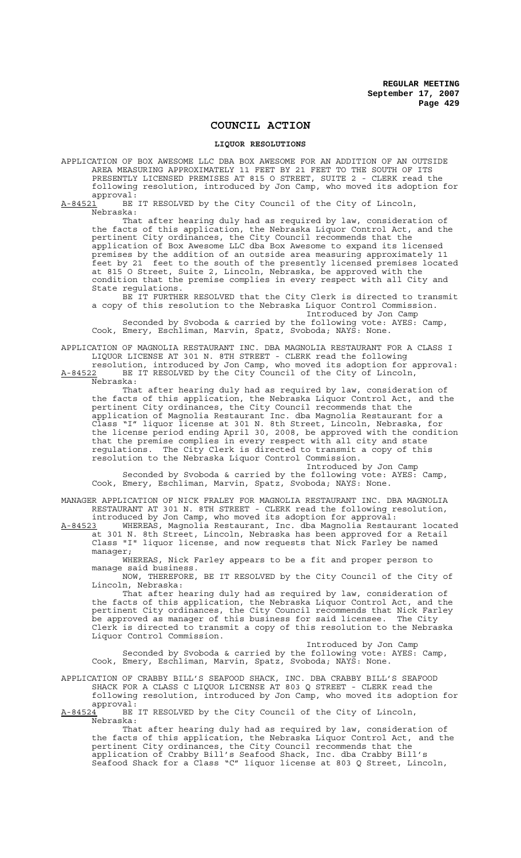# **COUNCIL ACTION**

# **LIQUOR RESOLUTIONS**

APPLICATION OF BOX AWESOME LLC DBA BOX AWESOME FOR AN ADDITION OF AN OUTSIDE AREA MEASURING APPROXIMATELY 11 FEET BY 21 FEET TO THE SOUTH OF ITS PRESENTLY LICENSED PREMISES AT 815 O STREET, SUITE 2 - CLERK read the following resolution, introduced by Jon Camp, who moved its adoption for approval:<br>A-84521 BE

BE IT RESOLVED by the City Council of the City of Lincoln Nebraska:

That after hearing duly had as required by law, consideration of the facts of this application, the Nebraska Liquor Control Act, and the pertinent City ordinances, the City Council recommends that the application of Box Awesome LLC dba Box Awesome to expand its licensed premises by the addition of an outside area measuring approximately 11 feet by 21 feet to the south of the presently licensed premises located at 815 O Street, Suite 2, Lincoln, Nebraska, be approved with the condition that the premise complies in every respect with all City and State regulations.

BE IT FURTHER RESOLVED that the City Clerk is directed to transmit a copy of this resolution to the Nebraska Liquor Control Commission. Introduced by Jon Camp

Seconded by Svoboda & carried by the following vote: AYES: Camp, Cook, Emery, Eschliman, Marvin, Spatz, Svoboda; NAYS: None.

APPLICATION OF MAGNOLIA RESTAURANT INC. DBA MAGNOLIA RESTAURANT FOR A CLASS I LIQUOR LICENSE AT 301 N. 8TH STREET - CLERK read the following

resolution, introduced by Jon Camp, who moved its adoption for approval: A-84522 BE IT RESOLVED by the City Council of the City of Lincoln, Nebraska:

That after hearing duly had as required by law, consideration of the facts of this application, the Nebraska Liquor Control Act, and the pertinent City ordinances, the City Council recommends that the application of Magnolia Restaurant Inc. dba Magnolia Restaurant for a Class "I" liquor license at 301 N. 8th Street, Lincoln, Nebraska, for the license period ending April 30, 2008, be approved with the condition that the premise complies in every respect with all city and state regulations. The City Clerk is directed to transmit a copy of this resolution to the Nebraska Liquor Control Commission.

Introduced by Jon Camp Seconded by Svoboda & carried by the following vote: AYES: Camp, Cook, Emery, Eschliman, Marvin, Spatz, Svoboda; NAYS: None.

MANAGER APPLICATION OF NICK FRALEY FOR MAGNOLIA RESTAURANT INC. DBA MAGNOLIA RESTAURANT AT 301 N. 8TH STREET - CLERK read the following resolution, introduced by Jon Camp, who moved its adoption for approval:

A-84523 WHEREAS, Magnolia Restaurant, Inc. dba Magnolia Restaurant located at 301 N. 8th Street, Lincoln, Nebraska has been approved for a Retail Class "I" liquor license, and now requests that Nick Farley be named manager;

WHEREAS, Nick Farley appears to be a fit and proper person to manage said business.

NOW, THEREFORE, BE IT RESOLVED by the City Council of the City of Lincoln, Nebraska:

That after hearing duly had as required by law, consideration of the facts of this application, the Nebraska Liquor Control Act, and the pertinent City ordinances, the City Council recommends that Nick Farley be approved as manager of this business for said licensee. The City Clerk is directed to transmit a copy of this resolution to the Nebraska Liquor Control Commission.

Introduced by Jon Camp Seconded by Svoboda & carried by the following vote: AYES: Camp, Cook, Emery, Eschliman, Marvin, Spatz, Svoboda; NAYS: None.

APPLICATION OF CRABBY BILL'S SEAFOOD SHACK, INC. DBA CRABBY BILL'S SEAFOOD SHACK FOR A CLASS C LIQUOR LICENSE AT 803 Q STREET - CLERK read the following resolution, introduced by Jon Camp, who moved its adoption for approval:

A-84524<sup>1</sup> BE IT RESOLVED by the City Council of the City of Lincoln, Nebraska:

That after hearing duly had as required by law, consideration of the facts of this application, the Nebraska Liquor Control Act, and the pertinent City ordinances, the City Council recommends that the application of Crabby Bill's Seafood Shack, Inc. dba Crabby Bill's Seafood Shack for a Class "C" liquor license at 803 Q Street, Lincoln,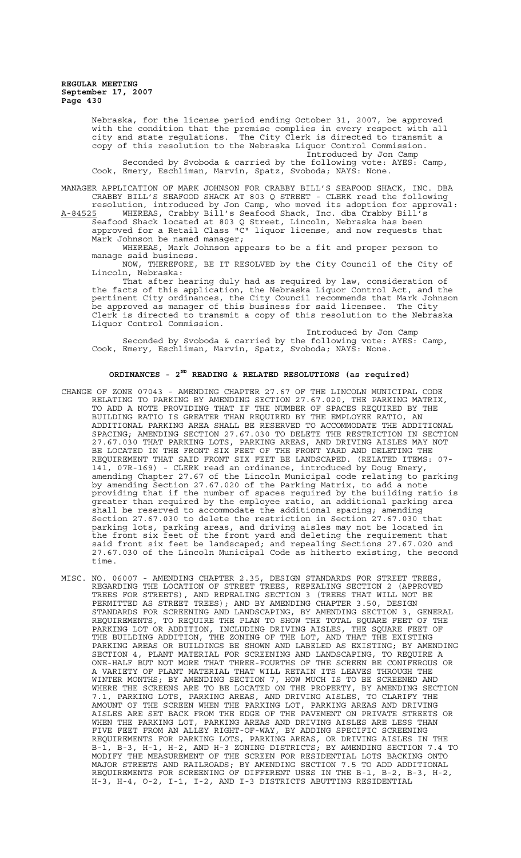> Nebraska, for the license period ending October 31, 2007, be approved with the condition that the premise complies in every respect with all city and state regulations. The City Clerk is directed to transmit a copy of this resolution to the Nebraska Liquor Control Commission. Introduced by Jon Camp Seconded by Svoboda & carried by the following vote: AYES: Camp, Cook, Emery, Eschliman, Marvin, Spatz, Svoboda; NAYS: None.

MANAGER APPLICATION OF MARK JOHNSON FOR CRABBY BILL'S SEAFOOD SHACK, INC. DBA CRABBY BILL'S SEAFOOD SHACK AT 803 Q STREET - CLERK read the following resolution, introduced by Jon Camp, who moved its adoption for approval: A-84525 WHEREAS, Crabby Bill's Seafood Shack, Inc. dba Crabby Bill's

Seafood Shack located at 803 Q Street, Lincoln, Nebraska has been approved for a Retail Class "C" liquor license, and now requests that Mark Johnson be named manager;

WHEREAS, Mark Johnson appears to be a fit and proper person to manage said business.

NOW, THEREFORE, BE IT RESOLVED by the City Council of the City of Lincoln, Nebraska:

That after hearing duly had as required by law, consideration of the facts of this application, the Nebraska Liquor Control Act, and the pertinent City ordinances, the City Council recommends that Mark Johnson be approved as manager of this business for said licensee. The City Clerk is directed to transmit a copy of this resolution to the Nebraska Liquor Control Commission.

Introduced by Jon Camp Seconded by Svoboda & carried by the following vote: AYES: Camp, Cook, Emery, Eschliman, Marvin, Spatz, Svoboda; NAYS: None.

# **ORDINANCES - 2ND READING & RELATED RESOLUTIONS (as required)**

- CHANGE OF ZONE 07043 AMENDING CHAPTER 27.67 OF THE LINCOLN MUNICIPAL CODE RELATING TO PARKING BY AMENDING SECTION 27.67.020, THE PARKING MATRIX, TO ADD A NOTE PROVIDING THAT IF THE NUMBER OF SPACES REQUIRED BY THE BUILDING RATIO IS GREATER THAN REQUIRED BY THE EMPLOYEE RATIO, AN ADDITIONAL PARKING AREA SHALL BE RESERVED TO ACCOMMODATE THE ADDITIONAL SPACING; AMENDING SECTION 27.67.030 TO DELETE THE RESTRICTION IN SECTION 27.67.030 THAT PARKING LOTS, PARKING AREAS, AND DRIVING AISLES MAY NOT BE LOCATED IN THE FRONT SIX FEET OF THE FRONT YARD AND DELETING THE REQUIREMENT THAT SAID FRONT SIX FEET BE LANDSCAPED. (RELATED ITEMS: 07- 141, 07R-169) - CLERK read an ordinance, introduced by Doug Emery, amending Chapter 27.67 of the Lincoln Municipal code relating to parking by amending Section 27.67.020 of the Parking Matrix, to add a note providing that if the number of spaces required by the building ratio is greater than required by the employee ratio, an additional parking area shall be reserved to accommodate the additional spacing; amending Section 27.67.030 to delete the restriction in Section 27.67.030 that parking lots, parking areas, and driving aisles may not be located in the front six feet of the front yard and deleting the requirement that said front six feet be landscaped; and repealing Sections 27.67.020 and 27.67.030 of the Lincoln Municipal Code as hitherto existing, the second time.
- MISC. NO. 06007 AMENDING CHAPTER 2.35, DESIGN STANDARDS FOR STREET TREES, REGARDING THE LOCATION OF STREET TREES, REPEALING SECTION 2 (APPROVED TREES FOR STREETS), AND REPEALING SECTION 3 (TREES THAT WILL NOT BE PERMITTED AS STREET TREES); AND BY AMENDING CHAPTER 3.50, DESIGN STANDARDS FOR SCREENING AND LANDSCAPING, BY AMENDING SECTION 3, GENERAL REQUIREMENTS, TO REQUIRE THE PLAN TO SHOW THE TOTAL SQUARE FEET OF THE PARKING LOT OR ADDITION, INCLUDING DRIVING AISLES, THE SQUARE FEET OF THE BUILDING ADDITION, THE ZONING OF THE LOT, AND THAT THE EXISTING PARKING AREAS OR BUILDINGS BE SHOWN AND LABELED AS EXISTING; BY AMENDING SECTION 4, PLANT MATERIAL FOR SCREENING AND LANDSCAPING, TO REQUIRE A ONE-HALF BUT NOT MORE THAT THREE-FOURTHS OF THE SCREEN BE CONIFEROUS OR A VARIETY OF PLANT MATERIAL THAT WILL RETAIN ITS LEAVES THROUGH THE WINTER MONTHS; BY AMENDING SECTION 7, HOW MUCH IS TO BE SCREENED AND WHERE THE SCREENS ARE TO BE LOCATED ON THE PROPERTY, BY AMENDING SECTION 7.1, PARKING LOTS, PARKING AREAS, AND DRIVING AISLES, TO CLARIFY THE AMOUNT OF THE SCREEN WHEN THE PARKING LOT, PARKING AREAS AND DRIVING AISLES ARE SET BACK FROM THE EDGE OF THE PAVEMENT ON PRIVATE STREETS OR WHEN THE PARKING LOT, PARKING AREAS AND DRIVING AISLES ARE LESS THAN FIVE FEET FROM AN ALLEY RIGHT-OF-WAY, BY ADDING SPECIFIC SCREENING REQUIREMENTS FOR PARKING LOTS, PARKING AREAS, OR DRIVING AISLES IN THE B-1, B-3, H-1, H-2, AND H-3 ZONING DISTRICTS; BY AMENDING SECTION 7.4 TO MODIFY THE MEASUREMENT OF THE SCREEN FOR RESIDENTIAL LOTS BACKING ONTO MAJOR STREETS AND RAILROADS; BY AMENDING SECTION 7.5 TO ADD ADDITIONAL REQUIREMENTS FOR SCREENING OF DIFFERENT USES IN THE B-1, B-2, B-3, H-2, H-3, H-4, O-2, I-1, I-2, AND I-3 DISTRICTS ABUTTING RESIDENTIAL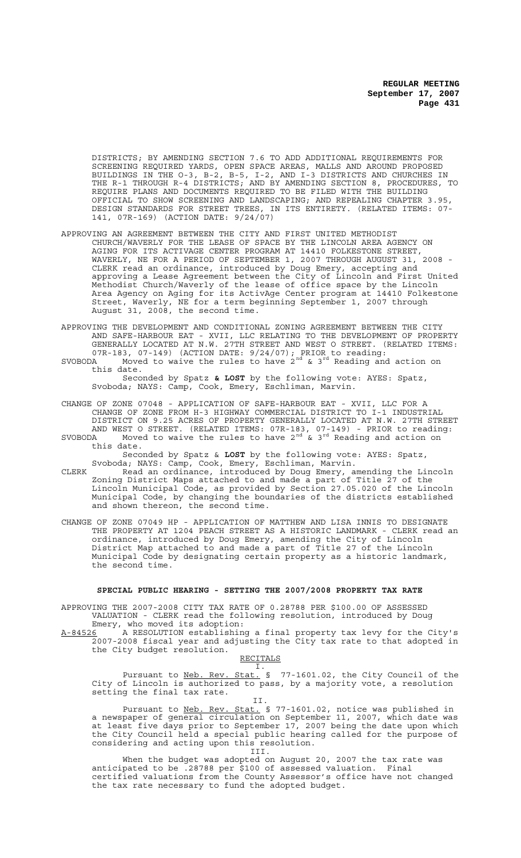DISTRICTS; BY AMENDING SECTION 7.6 TO ADD ADDITIONAL REQUIREMENTS FOR SCREENING REQUIRED YARDS, OPEN SPACE AREAS, MALLS AND AROUND PROPOSED BUILDINGS IN THE O-3, B-2, B-5, I-2, AND I-3 DISTRICTS AND CHURCHES IN THE R-1 THROUGH R-4 DISTRICTS; AND BY AMENDING SECTION 8, PROCEDURES, TO REQUIRE PLANS AND DOCUMENTS REQUIRED TO BE FILED WITH THE BUILDING OFFICIAL TO SHOW SCREENING AND LANDSCAPING; AND REPEALING CHAPTER 3.95, DESIGN STANDARDS FOR STREET TREES, IN ITS ENTIRETY. (RELATED ITEMS: 07- 141, 07R-169) (ACTION DATE: 9/24/07)

- APPROVING AN AGREEMENT BETWEEN THE CITY AND FIRST UNITED METHODIST CHURCH/WAVERLY FOR THE LEASE OF SPACE BY THE LINCOLN AREA AGENCY ON AGING FOR ITS ACTIVAGE CENTER PROGRAM AT 14410 FOLKESTONE STREET, WAVERLY, NE FOR A PERIOD OF SEPTEMBER 1, 2007 THROUGH AUGUST 31, 2008 - CLERK read an ordinance, introduced by Doug Emery, accepting and approving a Lease Agreement between the City of Lincoln and First United Methodist Church/Waverly of the lease of office space by the Lincoln Area Agency on Aging for its ActivAge Center program at 14410 Folkestone Street, Waverly, NE for a term beginning September 1, 2007 through August 31, 2008, the second time.
- APPROVING THE DEVELOPMENT AND CONDITIONAL ZONING AGREEMENT BETWEEN THE CITY AND SAFE-HARBOUR EAT - XVII, LLC RELATING TO THE DEVELOPMENT OF PROPERTY GENERALLY LOCATED AT N.W. 27TH STREET AND WEST O STREET. (RELATED ITEMS: 07R-183, 07-149) (ACTION DATE: 9/24/07); PRIOR to reading:
- SVOBODA Moved to waive the rules to have  $2^{nd}$  &  $3^{rd}$  Reading and action on this date.

Seconded by Spatz **& LOST** by the following vote: AYES: Spatz, Svoboda; NAYS: Camp, Cook, Emery, Eschliman, Marvin.

- CHANGE OF ZONE 07048 APPLICATION OF SAFE-HARBOUR EAT XVII, LLC FOR A CHANGE OF ZONE FROM H-3 HIGHWAY COMMERCIAL DISTRICT TO I-1 INDUSTRIAL DISTRICT ON 9.25 ACRES OF PROPERTY GENERALLY LOCATED AT N.W. 27TH STREET AND WEST O STREET. (RELATED ITEMS: 07R-183, 07-149) - PRIOR to reading:
- SVOBODA Moved to waive the rules to have 2 $^{\text{nd}}$  & 3 $^{\text{rd}}$  Reading and action on this date.

Seconded by Spatz & **LOST** by the following vote: AYES: Spatz, Svoboda; NAYS: Camp, Cook, Emery, Eschliman, Marvin.

- CLERK Read an ordinance, introduced by Doug Emery, amending the Lincoln Zoning District Maps attached to and made a part of Title 27 of the Lincoln Municipal Code, as provided by Section 27.05.020 of the Lincoln Municipal Code, by changing the boundaries of the districts established and shown thereon, the second time.
- CHANGE OF ZONE 07049 HP APPLICATION OF MATTHEW AND LISA INNIS TO DESIGNATE THE PROPERTY AT 1204 PEACH STREET AS A HISTORIC LANDMARK - CLERK read an ordinance, introduced by Doug Emery, amending the City of Lincoln District Map attached to and made a part of Title 27 of the Lincoln Municipal Code by designating certain property as a historic landmark, the second time.

#### **SPECIAL PUBLIC HEARING - SETTING THE 2007/2008 PROPERTY TAX RATE**

APPROVING THE 2007-2008 CITY TAX RATE OF 0.28788 PER \$100.00 OF ASSESSED VALUATION - CLERK read the following resolution, introduced by Doug Emery, who moved its adoption:

A-84526 A RESOLUTION establishing a final property tax levy for the City's 2007-2008 fiscal year and adjusting the City tax rate to that adopted in the City budget resolution.

RECITALS I.

Pursuant to Neb. Rev. Stat. § 77-1601.02, the City Council of the City of Lincoln is authorized to pass, by a majority vote, a resolution setting the final tax rate.

II.

Pursuant to Neb. Rev. Stat. § 77-1601.02, notice was published in a newspaper of general circulation on September 11, 2007, which date was at least five days prior to September 17, 2007 being the date upon which the City Council held a special public hearing called for the purpose of considering and acting upon this resolution.

III.

When the budget was adopted on August 20, 2007 the tax rate was anticipated to be .28788 per \$100 of assessed valuation. Final certified valuations from the County Assessor's office have not changed the tax rate necessary to fund the adopted budget.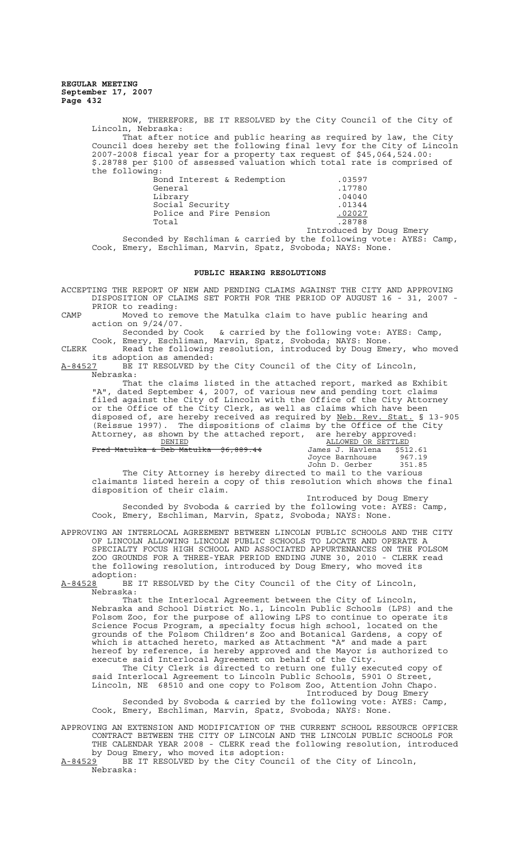> NOW, THEREFORE, BE IT RESOLVED by the City Council of the City of Lincoln, Nebraska: That after notice and public hearing as required by law, the City Council does hereby set the following final levy for the City of Lincoln 2007-2008 fiscal year for a property tax request of \$45,064,524.00: \$.28788 per \$100 of assessed valuation which total rate is comprised of the following:

| Bond Interest & Redemption | .03597                   |  |
|----------------------------|--------------------------|--|
| General                    | .17780                   |  |
| Library                    | .04040                   |  |
| Social Security            | .01344                   |  |
| Police and Fire Pension    | .02027                   |  |
| Total                      | .28788                   |  |
|                            | Introduced by Doug Emery |  |

Seconded by Eschliman & carried by the following vote: AYES: Camp, Cook, Emery, Eschliman, Marvin, Spatz, Svoboda; NAYS: None.

#### **PUBLIC HEARING RESOLUTIONS**

ACCEPTING THE REPORT OF NEW AND PENDING CLAIMS AGAINST THE CITY AND APPROVING DISPOSITION OF CLAIMS SET FORTH FOR THE PERIOD OF AUGUST 16 - 31, 2007 - PRIOR to reading:

CAMP Moved to remove the Matulka claim to have public hearing and action on 9/24/07.

Seconded by Cook & carried by the following vote: AYES: Camp, Cook, Emery, Eschliman, Marvin, Spatz, Svoboda; NAYS: None.

CLERK Read the following resolution, introduced by Doug Emery, who moved its adoption as amended:

A-84527 BE IT RESOLVED by the City Council of the City of Lincoln, Nebraska:

That the claims listed in the attached report, marked as Exhibit "A", dated September 4, 2007, of various new and pending tort claims filed against the City of Lincoln with the Office of the City Attorney or the Office of the City Clerk, as well as claims which have been disposed of, are hereby received as required by Neb. Rev. Stat. § 13-905 (Reissue 1997). The dispositions of claims by the Office of the City Attorney, as shown by the attached report, are hereby approved:<br>ALLOWED OR SETTLED

 $Fred$  Matulka & Deb Matulka  $$6,889.44$ 

are nereby apploached<br>
<u>ALLOWED OR SETTLED</u><br>
James J. Havlena \$512.61<br>
Joyce Barnhouse 967.19<br>
John D. Gerber 351.85 Joyce Barnhouse 967.19 John D. Gerber 351.85

The City Attorney is hereby directed to mail to the various claimants listed herein a copy of this resolution which shows the final disposition of their claim.

Introduced by Doug Emery Seconded by Svoboda & carried by the following vote: AYES: Camp, Cook, Emery, Eschliman, Marvin, Spatz, Svoboda; NAYS: None.

APPROVING AN INTERLOCAL AGREEMENT BETWEEN LINCOLN PUBLIC SCHOOLS AND THE CITY OF LINCOLN ALLOWING LINCOLN PUBLIC SCHOOLS TO LOCATE AND OPERATE A SPECIALTY FOCUS HIGH SCHOOL AND ASSOCIATED APPURTENANCES ON THE FOLSOM ZOO GROUNDS FOR A THREE-YEAR PERIOD ENDING JUNE 30, 2010 - CLERK read the following resolution, introduced by Doug Emery, who moved its adoption:<br><u>A-84528</u> BE

BE IT RESOLVED by the City Council of the City of Lincoln, Nebraska:

That the Interlocal Agreement between the City of Lincoln, Nebraska and School District No.1, Lincoln Public Schools (LPS) and the Folsom Zoo, for the purpose of allowing LPS to continue to operate its Science Focus Program, a specialty focus high school, located on the grounds of the Folsom Children's Zoo and Botanical Gardens, a copy of which is attached hereto, marked as Attachment "A" and made a part hereof by reference, is hereby approved and the Mayor is authorized to execute said Interlocal Agreement on behalf of the City.

The City Clerk is directed to return one fully executed copy of said Interlocal Agreement to Lincoln Public Schools, 5901 O Street, Lincoln, NE 68510 and one copy to Folsom Zoo, Attention John Chapo. Introduced by Doug Emery

Seconded by Svoboda & carried by the following vote: AYES: Camp, Cook, Emery, Eschliman, Marvin, Spatz, Svoboda; NAYS: None.

APPROVING AN EXTENSION AND MODIFICATION OF THE CURRENT SCHOOL RESOURCE OFFICER CONTRACT BETWEEN THE CITY OF LINCOLN AND THE LINCOLN PUBLIC SCHOOLS FOR THE CALENDAR YEAR 2008 - CLERK read the following resolution, introduced by Doug Emery, who moved its adoption:

A-84529 BE IT RESOLVED by the City Council of the City of Lincoln, Nebraska: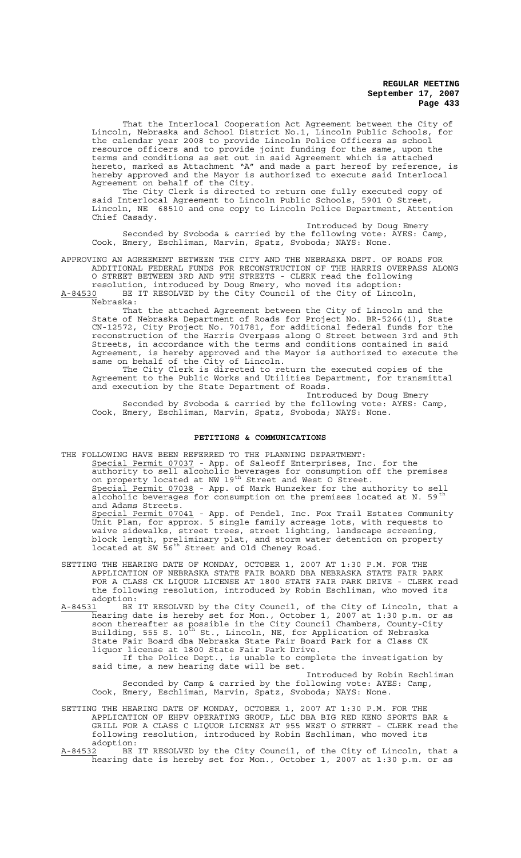That the Interlocal Cooperation Act Agreement between the City of Lincoln, Nebraska and School District No.1, Lincoln Public Schools, for the calendar year 2008 to provide Lincoln Police Officers as school resource officers and to provide joint funding for the same, upon the terms and conditions as set out in said Agreement which is attached hereto, marked as Attachment "A" and made a part hereof by reference, is hereby approved and the Mayor is authorized to execute said Interlocal Agreement on behalf of the City.

The City Clerk is directed to return one fully executed copy of said Interlocal Agreement to Lincoln Public Schools, 5901 O Street, Lincoln, NE 68510 and one copy to Lincoln Police Department, Attention Chief Casady.

Introduced by Doug Emery Seconded by Svoboda & carried by the following vote: AYES: Camp, Cook, Emery, Eschliman, Marvin, Spatz, Svoboda; NAYS: None.

APPROVING AN AGREEMENT BETWEEN THE CITY AND THE NEBRASKA DEPT. OF ROADS FOR ADDITIONAL FEDERAL FUNDS FOR RECONSTRUCTION OF THE HARRIS OVERPASS ALONG O STREET BETWEEN 3RD AND 9TH STREETS - CLERK read the following resolution, introduced by Doug Emery, who moved its adoption:

A-84530 BE IT RESOLVED by the City Council of the City of Lincoln, Nebraska:

That the attached Agreement between the City of Lincoln and the State of Nebraska Department of Roads for Project No. BR-5266(1), State CN-12572, City Project No. 701781, for additional federal funds for the reconstruction of the Harris Overpass along O Street between 3rd and 9th Streets, in accordance with the terms and conditions contained in said Agreement, is hereby approved and the Mayor is authorized to execute the same on behalf of the City of Lincoln.

The City Clerk is directed to return the executed copies of the Agreement to the Public Works and Utilities Department, for transmittal and execution by the State Department of Roads.

Introduced by Doug Emery Seconded by Svoboda & carried by the following vote: AYES: Camp, Cook, Emery, Eschliman, Marvin, Spatz, Svoboda; NAYS: None.

# **PETITIONS & COMMUNICATIONS**

THE FOLLOWING HAVE BEEN REFERRED TO THE PLANNING DEPARTMENT: Special Permit 07037 - App. of Saleoff Enterprises, Inc. for the authority to sell alcoholic beverages for consumption off the premises on property located at NW 19<sup>th</sup> Street and West O Street. Special Permit 07038 - App. of Mark Hunzeker for the authority to sell alcoholic beverages for consumption on the premises located at N. 59<sup>th</sup> and Adams Streets. Special Permit 07041 - App. of Pendel, Inc. Fox Trail Estates Community Unit Plan, for approx. 5 single family acreage lots, with requests to waive sidewalks, street trees, street lighting, landscape screening, block length, preliminary plat, and storm water detention on property located at SW 56<sup>th</sup> Street and Old Cheney Road.

- SETTING THE HEARING DATE OF MONDAY, OCTOBER 1, 2007 AT 1:30 P.M. FOR THE APPLICATION OF NEBRASKA STATE FAIR BOARD DBA NEBRASKA STATE FAIR PARK FOR A CLASS CK LIQUOR LICENSE AT 1800 STATE FAIR PARK DRIVE - CLERK read the following resolution, introduced by Robin Eschliman, who moved its adoption:
- A-84531 <sup>BE</sup> IT RESOLVED by the City Council, of the City of Lincoln, that a hearing date is hereby set for Mon., October 1, 2007 at 1:30 p.m. or as soon thereafter as possible in the City Council Chambers, County-City Building, 555 S. 10<sup>th</sup> St., Lincoln, NE, for Application of Nebraska State Fair Board dba Nebraska State Fair Board Park for a Class CK liquor license at 1800 State Fair Park Drive.

If the Police Dept., is unable to complete the investigation by said time, a new hearing date will be set.

Introduced by Robin Eschliman Seconded by Camp & carried by the following vote: AYES: Camp, Cook, Emery, Eschliman, Marvin, Spatz, Svoboda; NAYS: None.

- SETTING THE HEARING DATE OF MONDAY, OCTOBER 1, 2007 AT 1:30 P.M. FOR THE APPLICATION OF EHPV OPERATING GROUP, LLC DBA BIG RED KENO SPORTS BAR & GRILL FOR A CLASS C LIQUOR LICENSE AT 955 WEST O STREET - CLERK read the following resolution, introduced by Robin Eschliman, who moved its
- adoption:<br>A-84532 BE A-84532 BE IT RESOLVED by the City Council, of the City of Lincoln, that a hearing date is hereby set for Mon., October 1, 2007 at 1:30 p.m. or as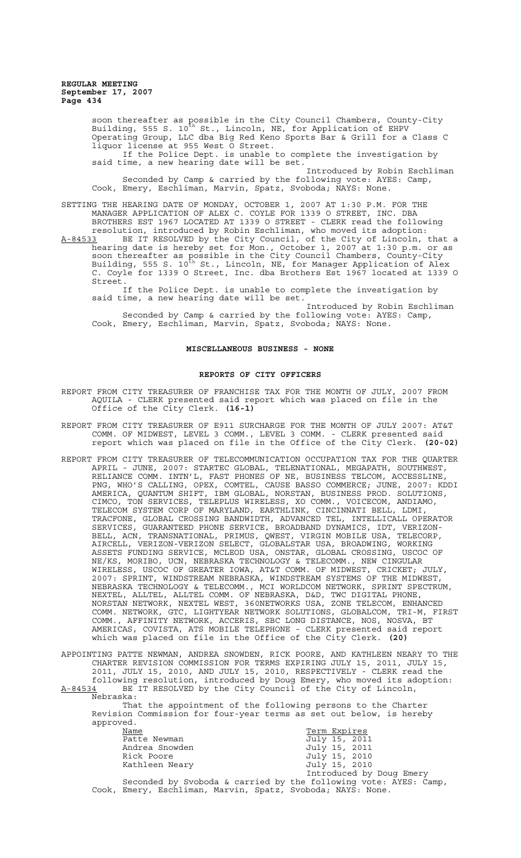> soon thereafter as possible in the City Council Chambers, County-City Building, 555 S. 10<sup>th</sup> St., Lincoln, NE, for Application of EHPV Operating Group, LLC dba Big Red Keno Sports Bar & Grill for a Class C liquor license at 955 West O Street.<br>If the Police Dept. is unable to complete the investigation by If the Police Dept. is unable to complete the investigation by said time, a new hearing date will be set. Introduced by Robin Eschliman Seconded by Camp & carried by the following vote: AYES: Camp, Cook, Emery, Eschliman, Marvin, Spatz, Svoboda; NAYS: None.

SETTING THE HEARING DATE OF MONDAY, OCTOBER 1, 2007 AT 1:30 P.M. FOR THE MANAGER APPLICATION OF ALEX C. COYLE FOR 1339 O STREET, INC. DBA BROTHERS EST 1967 LOCATED AT 1339 O STREET - CLERK read the following resolution, introduced by Robin Eschliman, who moved its adoption:

A-84533 BE IT RESOLVED by the City Council, of the City of Lincoln, that a hearing date is hereby set for Mon., October 1, 2007 at 1:30 p.m. or as soon thereafter as possible in the City Council Chambers, County-City Building, 555 S. 10<sup>th</sup> St., Lincoln, NE, for Manager Application of Alex C. Coyle for 1339 O Street, Inc. dba Brothers Est 1967 located at 1339 O Street.

If the Police Dept. is unable to complete the investigation by said time, a new hearing date will be set.

Introduced by Robin Eschliman Seconded by Camp & carried by the following vote: AYES: Camp, Cook, Emery, Eschliman, Marvin, Spatz, Svoboda; NAYS: None.

# **MISCELLANEOUS BUSINESS - NONE**

## **REPORTS OF CITY OFFICERS**

- REPORT FROM CITY TREASURER OF FRANCHISE TAX FOR THE MONTH OF JULY, 2007 FROM AQUILA - CLERK presented said report which was placed on file in the Office of the City Clerk. **(16-1)**
- REPORT FROM CITY TREASURER OF E911 SURCHARGE FOR THE MONTH OF JULY 2007: AT&T COMM. OF MIDWEST, LEVEL 3 COMM., LEVEL 3 COMM. - CLERK presented said report which was placed on file in the Office of the City Clerk. **(20-02)**
- REPORT FROM CITY TREASURER OF TELECOMMUNICATION OCCUPATION TAX FOR THE QUARTER APRIL - JUNE, 2007: STARTEC GLOBAL, TELENATIONAL, MEGAPATH, SOUTHWEST, RELIANCE COMM. INTN'L, FAST PHONES OF NE, BUSINESS TELCOM, ACCESSLINE, PNG, WHO'S CALLING, OPEX, COMTEL, CAUSE BASSO COMMERCE; JUNE, 2007: KDDI AMERICA, QUANTUM SHIFT, IBM GLOBAL, NORSTAN, BUSINESS PROD. SOLUTIONS, CIMCO, TON SERVICES, TELEPLUS WIRELESS, XO COMM., VOICECOM, ANDIAMO, TELECOM SYSTEM CORP OF MARYLAND, EARTHLINK, CINCINNATI BELL, LDMI, TRACFONE, GLOBAL CROSSING BANDWIDTH, ADVANCED TEL, INTELLICALL OPERATOR SERVICES, GUARANTEED PHONE SERVICE, BROADBAND DYNAMICS, IDT, VERIZON-BELL, ACN, TRANSNATIONAL, PRIMUS, QWEST, VIRGIN MOBILE USA, TELECORP, AIRCELL, VERIZON-VERIZON SELECT, GLOBALSTAR USA, BROADWING, WORKING ASSETS FUNDING SERVICE, MCLEOD USA, ONSTAR, GLOBAL CROSSING, USCOC OF NE/KS, MORIBO, UCN, NEBRASKA TECHNOLOGY & TELECOMM., NEW CINGULAR WIRELESS, USCOC OF GREATER IOWA, AT&T COMM. OF MIDWEST, CRICKET; JULY, 2007: SPRINT, WINDSTREAM NEBRASKA, WINDSTREAM SYSTEMS OF THE MIDWEST, NEBRASKA TECHNOLOGY & TELECOMM., MCI WORLDCOM NETWORK, SPRINT SPECTRUM, NEXTEL, ALLTEL, ALLTEL COMM. OF NEBRASKA, D&D, TWC DIGITAL PHONE, NORSTAN NETWORK, NEXTEL WEST, 360NETWORKS USA, ZONE TELECOM, ENHANCED COMM. NETWORK, GTC, LIGHTYEAR NETWORK SOLUTIONS, GLOBALCOM, TRI-M, FIRST COMM., AFFINITY NETWORK, ACCERIS, SBC LONG DISTANCE, NOS, NOSVA, BT AMERICAS, COVISTA, ATS MOBILE TELEPHONE - CLERK presented said report which was placed on file in the Office of the City Clerk. **(20)**

APPOINTING PATTE NEWMAN, ANDREA SNOWDEN, RICK POORE, AND KATHLEEN NEARY TO THE CHARTER REVISION COMMISSION FOR TERMS EXPIRING JULY 15, 2011, JULY 15, 2011, JULY 15, 2010, AND JULY 15, 2010, RESPECTIVELY - CLERK read the following resolution, introduced by Doug Emery, who moved its adoption: A-84534 BE IT RESOLVED by the City Council of the City of Lincoln, Nebraska:

That the appointment of the following persons to the Charter Revision Commission for four-year terms as set out below, is hereby approved.

| veu.           |                          |
|----------------|--------------------------|
| Name           | Term Expires             |
| Patte Newman   | July 15, 2011            |
| Andrea Snowden | July 15, 2011            |
| Rick Poore     | July 15, 2010            |
| Kathleen Neary | July 15, 2010            |
|                | Introduced by Doug Emery |

Seconded by Svoboda & carried by the following vote: AYES: Camp, Cook, Emery, Eschliman, Marvin, Spatz, Svoboda; NAYS: None.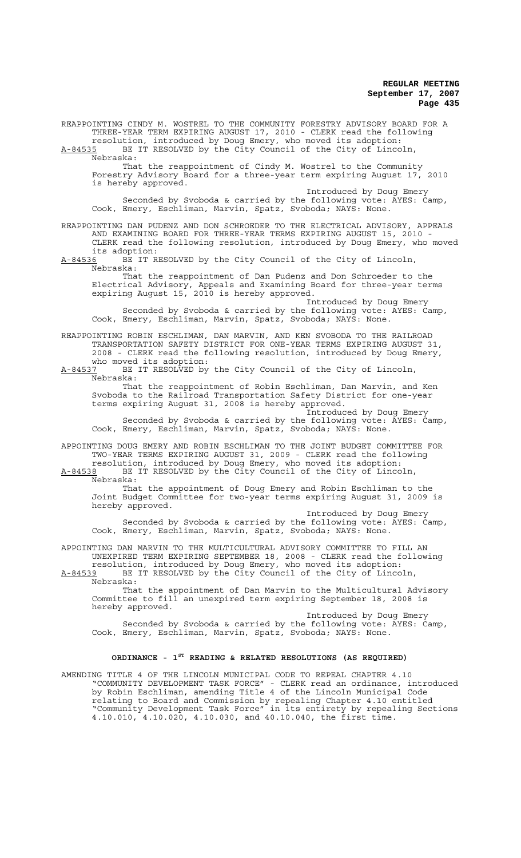REAPPOINTING CINDY M. WOSTREL TO THE COMMUNITY FORESTRY ADVISORY BOARD FOR A THREE-YEAR TERM EXPIRING AUGUST 17, 2010 - CLERK read the following resolution, introduced by Doug Emery, who moved its adoption: A-84535 BE IT RESOLVED by the City Council of the City of Lincoln, Nebraska: That the reappointment of Cindy M. Wostrel to the Community Forestry Advisory Board for a three-year term expiring August 17, 2010 is hereby approved. Introduced by Doug Emery Seconded by Svoboda & carried by the following vote: AYES: Camp, Cook, Emery, Eschliman, Marvin, Spatz, Svoboda; NAYS: None. REAPPOINTING DAN PUDENZ AND DON SCHROEDER TO THE ELECTRICAL ADVISORY, APPEALS AND EXAMINING BOARD FOR THREE-YEAR TERMS EXPIRING AUGUST 15, 2010 CLERK read the following resolution, introduced by Doug Emery, who moved its adoption: A-84536 BE IT RESOLVED by the City Council of the City of Lincoln, Nebraska: That the reappointment of Dan Pudenz and Don Schroeder to the Electrical Advisory, Appeals and Examining Board for three-year terms expiring August 15, 2010 is hereby approved. Introduced by Doug Emery Seconded by Svoboda & carried by the following vote: AYES: Camp, Cook, Emery, Eschliman, Marvin, Spatz, Svoboda; NAYS: None. REAPPOINTING ROBIN ESCHLIMAN, DAN MARVIN, AND KEN SVOBODA TO THE RAILROAD TRANSPORTATION SAFETY DISTRICT FOR ONE-YEAR TERMS EXPIRING AUGUST 31, 2008 - CLERK read the following resolution, introduced by Doug Emery, who moved its adoption: A-84537 BE IT RESOLVED by the City Council of the City of Lincoln,  $A-84537$  BE<br>Nebraska: That the reappointment of Robin Eschliman, Dan Marvin, and Ken Svoboda to the Railroad Transportation Safety District for one-year terms expiring August 31, 2008 is hereby approved. Introduced by Doug Emery Seconded by Svoboda & carried by the following vote: AYES: Camp, Cook, Emery, Eschliman, Marvin, Spatz, Svoboda; NAYS: None. APPOINTING DOUG EMERY AND ROBIN ESCHLIMAN TO THE JOINT BUDGET COMMITTEE FOR TWO-YEAR TERMS EXPIRING AUGUST 31, 2009 - CLERK read the following resolution, introduced by Doug Emery, who moved its adoption: A-84538 BE IT RESOLVED by the City Council of the City of Lincoln, Nebraska: That the appointment of Doug Emery and Robin Eschliman to the Joint Budget Committee for two-year terms expiring August 31, 2009 is hereby approved. Introduced by Doug Emery Seconded by Svoboda & carried by the following vote: AYES: Camp, Cook, Emery, Eschliman, Marvin, Spatz, Svoboda; NAYS: None. APPOINTING DAN MARVIN TO THE MULTICULTURAL ADVISORY COMMITTEE TO FILL AN UNEXPIRED TERM EXPIRING SEPTEMBER 18, 2008 - CLERK read the following resolution, introduced by Doug Emery, who moved its adoption: A-84539 BE IT RESOLVED by the City Council of the City of Lincoln,  $A-84539$  BE I<br>Nebraska: That the appointment of Dan Marvin to the Multicultural Advisory Committee to fill an unexpired term expiring September 18, 2008 is hereby approved. Introduced by Doug Emery Seconded by Svoboda & carried by the following vote: AYES: Camp, Cook, Emery, Eschliman, Marvin, Spatz, Svoboda; NAYS: None. **ORDINANCE - 1ST READING & RELATED RESOLUTIONS (AS REQUIRED)** AMENDING TITLE 4 OF THE LINCOLN MUNICIPAL CODE TO REPEAL CHAPTER 4.10 "COMMUNITY DEVELOPMENT TASK FORCE" - CLERK read an ordinance, introduced by Robin Eschliman, amending Title 4 of the Lincoln Municipal Code relating to Board and Commission by repealing Chapter 4.10 entitled "Community Development Task Force" in its entirety by repealing Sections 4.10.010, 4.10.020, 4.10.030, and 40.10.040, the first time.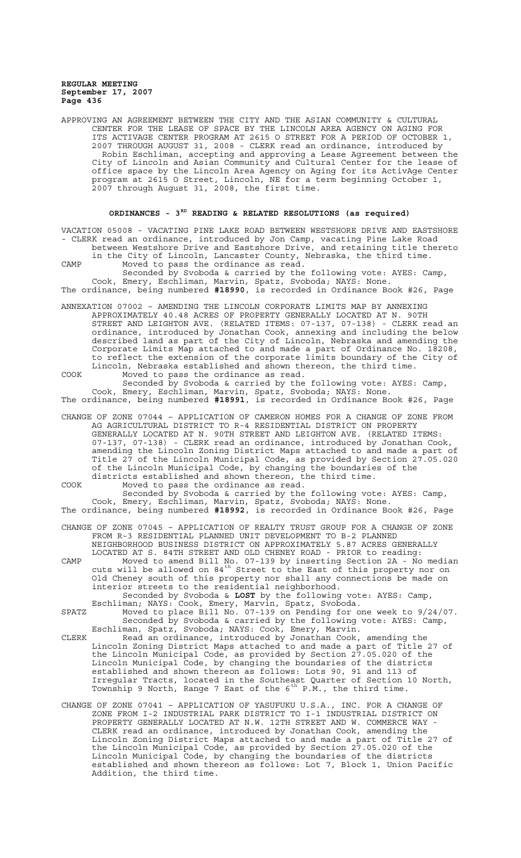APPROVING AN AGREEMENT BETWEEN THE CITY AND THE ASIAN COMMUNITY & CULTURAL CENTER FOR THE LEASE OF SPACE BY THE LINCOLN AREA AGENCY ON AGING FOR ITS ACTIVAGE CENTER PROGRAM AT 2615 O STREET FOR A PERIOD OF OCTOBER 1, 2007 THROUGH AUGUST 31, 2008 - CLERK read an ordinance, introduced by Robin Eschliman, accepting and approving a Lease Agreement between the City of Lincoln and Asian Community and Cultural Center for the lease of office space by the Lincoln Area Agency on Aging for its ActivAge Center program at 2615 O Street, Lincoln, NE for a term beginning October 1, 2007 through August 31, 2008, the first time.

# ORDINANCES - 3<sup>RD</sup> READING & RELATED RESOLUTIONS (as required)

VACATION 05008 - VACATING PINE LAKE ROAD BETWEEN WESTSHORE DRIVE AND EASTSHORE - CLERK read an ordinance, introduced by Jon Camp, vacating Pine Lake Road between Westshore Drive and Eastshore Drive, and retaining title thereto

in the City of Lincoln, Lancaster County, Nebraska, the third time. CAMP Moved to pass the ordinance as read.

Seconded by Svoboda & carried by the following vote: AYES: Camp, Cook, Emery, Eschliman, Marvin, Spatz, Svoboda; NAYS: None. The ordinance, being numbered **#18990**, is recorded in Ordinance Book #26, Page

ANNEXATION 07002 – AMENDING THE LINCOLN CORPORATE LIMITS MAP BY ANNEXING APPROXIMATELY 40.48 ACRES OF PROPERTY GENERALLY LOCATED AT N. 90TH STREET AND LEIGHTON AVE. (RELATED ITEMS: 07-137, 07-138) - CLERK read an ordinance, introduced by Jonathan Cook, annexing and including the below described land as part of the City of Lincoln, Nebraska and amending the Corporate Limits Map attached to and made a part of Ordinance No. 18208, to reflect the extension of the corporate limits boundary of the City of Lincoln, Nebraska established and shown thereon, the third time.

COOK Moved to pass the ordinance as read. Seconded by Svoboda & carried by the following vote: AYES: Camp, Cook, Emery, Eschliman, Marvin, Spatz, Svoboda; NAYS: None. The ordinance, being numbered **#18991**, is recorded in Ordinance Book #26, Page

CHANGE OF ZONE 07044 – APPLICATION OF CAMERON HOMES FOR A CHANGE OF ZONE FROM AG AGRICULTURAL DISTRICT TO R-4 RESIDENTIAL DISTRICT ON PROPERTY GENERALLY LOCATED AT N. 90TH STREET AND LEIGHTON AVE. (RELATED ITEMS: 07-137, 07-138) - CLERK read an ordinance, introduced by Jonathan Cook, amending the Lincoln Zoning District Maps attached to and made a part of Title 27 of the Lincoln Municipal Code, as provided by Section 27.05.020 of the Lincoln Municipal Code, by changing the boundaries of the districts established and shown thereon, the third time.

COOK Moved to pass the ordinance as read. Seconded by Svoboda & carried by the following vote: AYES: Camp,

Cook, Emery, Eschliman, Marvin, Spatz, Svoboda; NAYS: None. The ordinance, being numbered **#18992**, is recorded in Ordinance Book #26, Page

CHANGE OF ZONE 07045 – APPLICATION OF REALTY TRUST GROUP FOR A CHANGE OF ZONE FROM R-3 RESIDENTIAL PLANNED UNIT DEVELOPMENT TO B-2 PLANNED NEIGHBORHOOD BUSINESS DISTRICT ON APPROXIMATELY 5.87 ACRES GENERALLY

LOCATED AT S. 84TH STREET AND OLD CHENEY ROAD - PRIOR to reading: CAMP Moved to amend Bill No. 07-139 by inserting Section 2A - No median cuts will be allowed on  $84^{\text{th}}$  Street to the East of this property nor on Old Cheney south of this property nor shall any connections be made on interior streets to the residential neighborhood. Seconded by Svoboda & **LOST** by the following vote: AYES: Camp,

- Eschliman; NAYS: Cook, Emery, Marvin, Spatz, Svoboda. SPATZ Moved to place Bill No. 07-139 on Pending for one week to 9/24/07. Seconded by Svoboda & carried by the following vote: AYES: Camp,
- Eschliman, Spatz, Svoboda; NAYS: Cook, Emery, Marvin. CLERK Read an ordinance, introduced by Jonathan Cook, amending the Lincoln Zoning District Maps attached to and made a part of Title 27 of the Lincoln Municipal Code, as provided by Section 27.05.020 of the Lincoln Municipal Code, by changing the boundaries of the districts established and shown thereon as follows: Lots 90, 91 and 113 of Irregular Tracts, located in the Southeast Quarter of Section 10 North, Township 9 North, Range 7 East of the  $6^{th}$  P.M., the third time.
- CHANGE OF ZONE 07041 APPLICATION OF YASUFUKU U.S.A., INC. FOR A CHANGE OF ZONE FROM I-2 INDUSTRIAL PARK DISTRICT TO I-1 INDUSTRIAL DISTRICT ON PROPERTY GENERALLY LOCATED AT N.W. 12TH STREET AND W. COMMERCE WAY - CLERK read an ordinance, introduced by Jonathan Cook, amending the Lincoln Zoning District Maps attached to and made a part of Title 27 of the Lincoln Municipal Code, as provided by Section 27.05.020 of the Lincoln Municipal Code, by changing the boundaries of the districts established and shown thereon as follows: Lot 7, Block 1, Union Pacific Addition, the third time.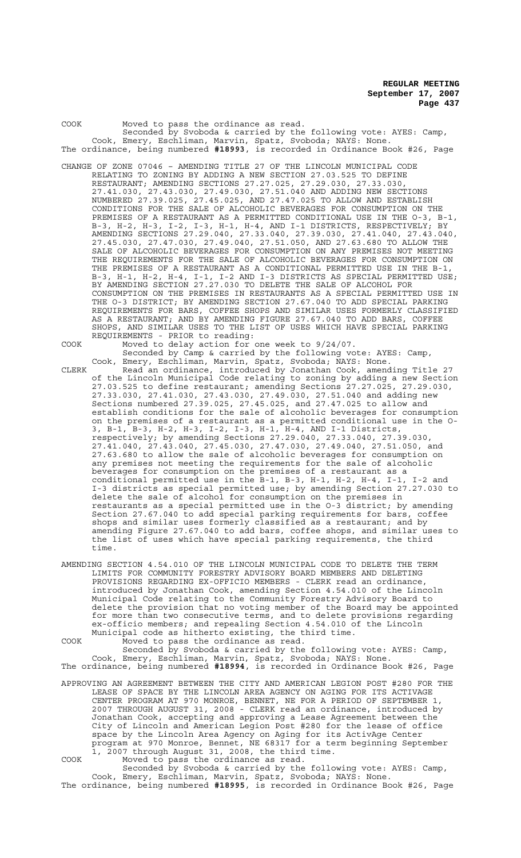COOK Moved to pass the ordinance as read. Seconded by Svoboda & carried by the following vote: AYES: Camp, Cook, Emery, Eschliman, Marvin, Spatz, Svoboda; NAYS: None. The ordinance, being numbered **#18993**, is recorded in Ordinance Book #26, Page CHANGE OF ZONE 07046 – AMENDING TITLE 27 OF THE LINCOLN MUNICIPAL CODE

RELATING TO ZONING BY ADDING A NEW SECTION 27.03.525 TO DEFINE RESTAURANT; AMENDING SECTIONS 27.27.025, 27.29.030, 27.33.030, 27.41.030, 27.43.030, 27.49.030, 27.51.040 AND ADDING NEW SECTIONS NUMBERED 27.39.025, 27.45.025, AND 27.47.025 TO ALLOW AND ESTABLISH CONDITIONS FOR THE SALE OF ALCOHOLIC BEVERAGES FOR CONSUMPTION ON THE PREMISES OF A RESTAURANT AS A PERMITTED CONDITIONAL USE IN THE O-3, B-1, B-3, H-2, H-3, I-2, I-3, H-1, H-4, AND I-1 DISTRICTS, RESPECTIVELY; BY AMENDING SECTIONS 27.29.040, 27.33.040, 27.39.030, 27.41.040, 27.43.040, 27.45.030, 27.47.030, 27.49.040, 27.51.050, AND 27.63.680 TO ALLOW THE SALE OF ALCOHOLIC BEVERAGES FOR CONSUMPTION ON ANY PREMISES NOT MEETING THE REQUIREMENTS FOR THE SALE OF ALCOHOLIC BEVERAGES FOR CONSUMPTION ON THE PREMISES OF A RESTAURANT AS A CONDITIONAL PERMITTED USE IN THE B-1, B-3, H-1, H-2, H-4, I-1, I-2 AND I-3 DISTRICTS AS SPECIAL PERMITTED USE; BY AMENDING SECTION 27.27.030 TO DELETE THE SALE OF ALCOHOL FOR CONSUMPTION ON THE PREMISES IN RESTAURANTS AS A SPECIAL PERMITTED USE IN THE O-3 DISTRICT; BY AMENDING SECTION 27.67.040 TO ADD SPECIAL PARKING REQUIREMENTS FOR BARS, COFFEE SHOPS AND SIMILAR USES FORMERLY CLASSIFIED AS A RESTAURANT; AND BY AMENDING FIGURE 27.67.040 TO ADD BARS, COFFEE SHOPS, AND SIMILAR USES TO THE LIST OF USES WHICH HAVE SPECIAL PARKING REQUIREMENTS - PRIOR to reading:

COOK Moved to delay action for one week to 9/24/07.

- Seconded by Camp & carried by the following vote: AYES: Camp, Cook, Emery, Eschliman, Marvin, Spatz, Svoboda; NAYS: None. CLERK Read an ordinance, introduced by Jonathan Cook, amending Title 27 of the Lincoln Municipal Code relating to zoning by adding a new Section 27.03.525 to define restaurant; amending Sections 27.27.025, 27.29.030, 27.33.030, 27.41.030, 27.43.030, 27.49.030, 27.51.040 and adding new Sections numbered 27.39.025, 27.45.025, and 27.47.025 to allow and establish conditions for the sale of alcoholic beverages for consumption on the premises of a restaurant as a permitted conditional use in the O-3, B-1, B-3, H-2, H-3, I-2, I-3, H-1, H-4, AND I-1 Districts, respectively; by amending Sections 27.29.040, 27.33.040, 27.39.030, 27.41.040, 27.43.040, 27.45.030, 27.47.030, 27.49.040, 27.51.050, and 27.63.680 to allow the sale of alcoholic beverages for consumption on any premises not meeting the requirements for the sale of alcoholic beverages for consumption on the premises of a restaurant as a conditional permitted use in the B-1, B-3, H-1, H-2, H-4, I-1, I-2 and I-3 districts as special permitted use; by amending Section 27.27.030 to delete the sale of alcohol for consumption on the premises in restaurants as a special permitted use in the O-3 district; by amending Section 27.67.040 to add special parking requirements for bars, coffee shops and similar uses formerly classified as a restaurant; and by amending Figure 27.67.040 to add bars, coffee shops, and similar uses to the list of uses which have special parking requirements, the third time.
- AMENDING SECTION 4.54.010 OF THE LINCOLN MUNICIPAL CODE TO DELETE THE TERM LIMITS FOR COMMUNITY FORESTRY ADVISORY BOARD MEMBERS AND DELETING PROVISIONS REGARDING EX-OFFICIO MEMBERS - CLERK read an ordinance, introduced by Jonathan Cook, amending Section 4.54.010 of the Lincoln Municipal Code relating to the Community Forestry Advisory Board to delete the provision that no voting member of the Board may be appointed for more than two consecutive terms, and to delete provisions regarding ex-officio members; and repealing Section 4.54.010 of the Lincoln Municipal code as hitherto existing, the third time.

COOK Moved to pass the ordinance as read.

Seconded by Svoboda & carried by the following vote: AYES: Camp, Cook, Emery, Eschliman, Marvin, Spatz, Svoboda; NAYS: None. The ordinance, being numbered **#18994**, is recorded in Ordinance Book #26, Page

APPROVING AN AGREEMENT BETWEEN THE CITY AND AMERICAN LEGION POST #280 FOR THE LEASE OF SPACE BY THE LINCOLN AREA AGENCY ON AGING FOR ITS ACTIVAGE CENTER PROGRAM AT 970 MONROE, BENNET, NE FOR A PERIOD OF SEPTEMBER 1, 2007 THROUGH AUGUST 31, 2008 - CLERK read an ordinance, introduced by Jonathan Cook, accepting and approving a Lease Agreement between the City of Lincoln and American Legion Post #280 for the lease of office space by the Lincoln Area Agency on Aging for its ActivAge Center program at 970 Monroe, Bennet, NE 68317 for a term beginning September 1, 2007 through August 31, 2008, the third time. COOK Moved to pass the ordinance as read.

Seconded by Svoboda & carried by the following vote: AYES: Camp, Cook, Emery, Eschliman, Marvin, Spatz, Svoboda; NAYS: None. The ordinance, being numbered **#18995**, is recorded in Ordinance Book #26, Page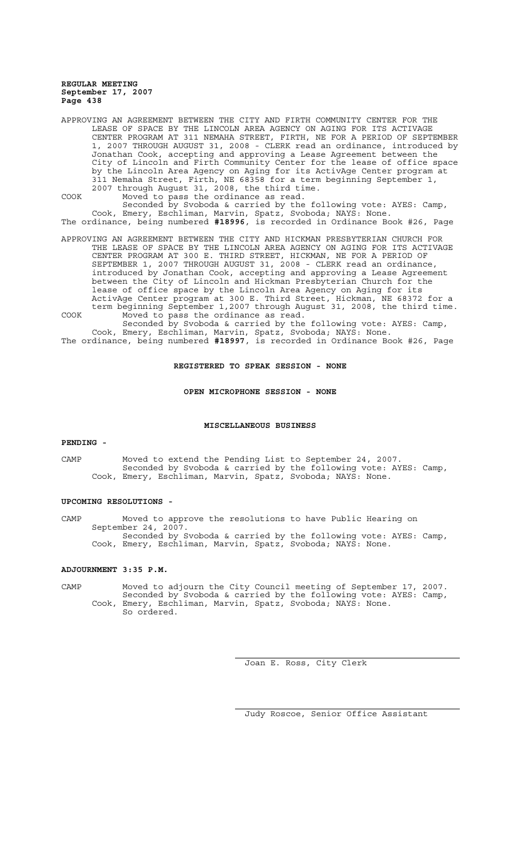APPROVING AN AGREEMENT BETWEEN THE CITY AND FIRTH COMMUNITY CENTER FOR THE LEASE OF SPACE BY THE LINCOLN AREA AGENCY ON AGING FOR ITS ACTIVAGE CENTER PROGRAM AT 311 NEMAHA STREET, FIRTH, NE FOR A PERIOD OF SEPTEMBER 1, 2007 THROUGH AUGUST 31, 2008 - CLERK read an ordinance, introduced by Jonathan Cook, accepting and approving a Lease Agreement between the City of Lincoln and Firth Community Center for the lease of office space by the Lincoln Area Agency on Aging for its ActivAge Center program at 311 Nemaha Street, Firth, NE 68358 for a term beginning September 1, 2007 through August 31, 2008, the third time.

COOK Moved to pass the ordinance as read. Seconded by Svoboda & carried by the following vote: AYES: Camp, Cook, Emery, Eschliman, Marvin, Spatz, Svoboda; NAYS: None. The ordinance, being numbered **#18996**, is recorded in Ordinance Book #26, Page

APPROVING AN AGREEMENT BETWEEN THE CITY AND HICKMAN PRESBYTERIAN CHURCH FOR THE LEASE OF SPACE BY THE LINCOLN AREA AGENCY ON AGING FOR ITS ACTIVAGE CENTER PROGRAM AT 300 E. THIRD STREET, HICKMAN, NE FOR A PERIOD OF SEPTEMBER 1, 2007 THROUGH AUGUST 31, 2008 - CLERK read an ordinance, introduced by Jonathan Cook, accepting and approving a Lease Agreement between the City of Lincoln and Hickman Presbyterian Church for the lease of office space by the Lincoln Area Agency on Aging for its ActivAge Center program at 300 E. Third Street, Hickman, NE 68372 for a term beginning September 1,2007 through August 31, 2008, the third time. COOK Moved to pass the ordinance as read.

Seconded by Svoboda & carried by the following vote: AYES: Camp, Cook, Emery, Eschliman, Marvin, Spatz, Svoboda; NAYS: None. The ordinance, being numbered **#18997**, is recorded in Ordinance Book #26, Page

## **REGISTERED TO SPEAK SESSION - NONE**

**OPEN MICROPHONE SESSION - NONE**

# **MISCELLANEOUS BUSINESS**

#### **PENDING -**

CAMP Moved to extend the Pending List to September 24, 2007. Seconded by Svoboda & carried by the following vote: AYES: Camp, Cook, Emery, Eschliman, Marvin, Spatz, Svoboda; NAYS: None.

# **UPCOMING RESOLUTIONS -**

CAMP Moved to approve the resolutions to have Public Hearing on September 24, 2007. Seconded by Svoboda & carried by the following vote: AYES: Camp, Cook, Emery, Eschliman, Marvin, Spatz, Svoboda; NAYS: None.

# **ADJOURNMENT 3:35 P.M.**

CAMP Moved to adjourn the City Council meeting of September 17, 2007. Seconded by Svoboda & carried by the following vote: AYES: Camp, Cook, Emery, Eschliman, Marvin, Spatz, Svoboda; NAYS: None. So ordered.

Joan E. Ross, City Clerk

Judy Roscoe, Senior Office Assistant